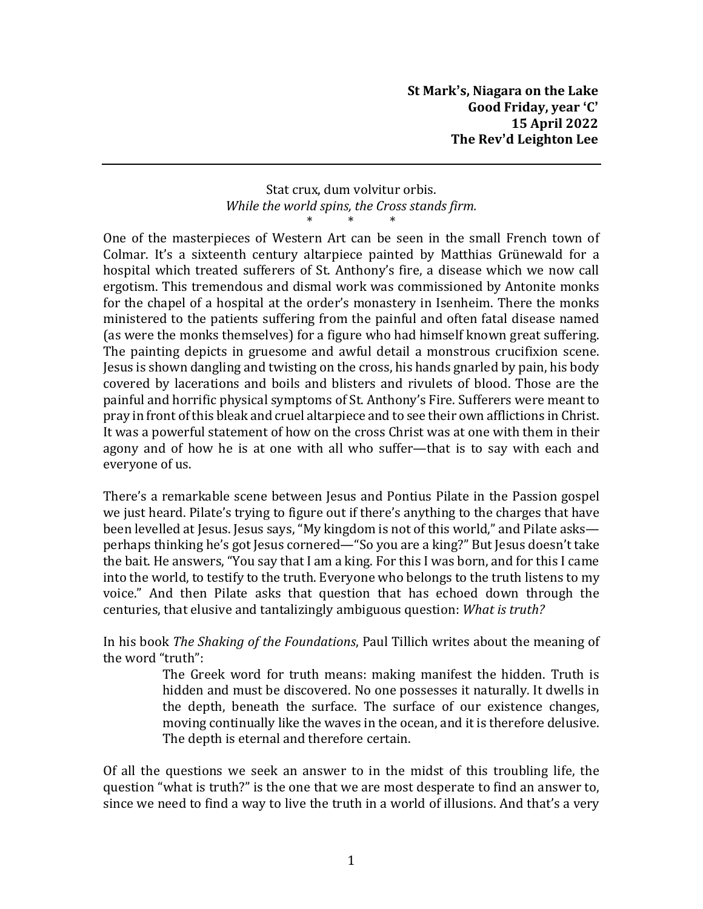## Stat crux, dum volvitur orbis. *While the world spins, the Cross stands firm.* \* \* \*

One of the masterpieces of Western Art can be seen in the small French town of Colmar. It's a sixteenth century altarpiece painted by Matthias Grünewald for a hospital which treated sufferers of St. Anthony's fire, a disease which we now call ergotism. This tremendous and dismal work was commissioned by Antonite monks for the chapel of a hospital at the order's monastery in Isenheim. There the monks ministered to the patients suffering from the painful and often fatal disease named (as were the monks themselves) for a figure who had himself known great suffering. The painting depicts in gruesome and awful detail a monstrous crucifixion scene. Jesus is shown dangling and twisting on the cross, his hands gnarled by pain, his body covered by lacerations and boils and blisters and rivulets of blood. Those are the painful and horrific physical symptoms of St. Anthony's Fire. Sufferers were meant to pray in front ofthis bleak and cruel altarpiece and to see their own afflictions in Christ. It was a powerful statement of how on the cross Christ was at one with them in their agony and of how he is at one with all who suffer—that is to say with each and everyone of us.

There's a remarkable scene between Jesus and Pontius Pilate in the Passion gospel we just heard. Pilate's trying to figure out if there's anything to the charges that have been levelled at Jesus. Jesus says, "My kingdom is not of this world," and Pilate asks perhaps thinking he's got Jesus cornered—"So you are a king?" But Jesus doesn't take the bait. He answers, "You say that I am a king. For this I was born, and for this I came into the world, to testify to the truth. Everyone who belongs to the truth listens to my voice." And then Pilate asks that question that has echoed down through the centuries, that elusive and tantalizingly ambiguous question: *What is truth?*

In his book *The Shaking of the Foundations*, Paul Tillich writes about the meaning of the word "truth":

> The Greek word for truth means: making manifest the hidden. Truth is hidden and must be discovered. No one possesses it naturally. It dwells in the depth, beneath the surface. The surface of our existence changes, moving continually like the waves in the ocean, and it is therefore delusive. The depth is eternal and therefore certain.

Of all the questions we seek an answer to in the midst of this troubling life, the question "what is truth?" is the one that we are most desperate to find an answer to, since we need to find a way to live the truth in a world of illusions. And that's a very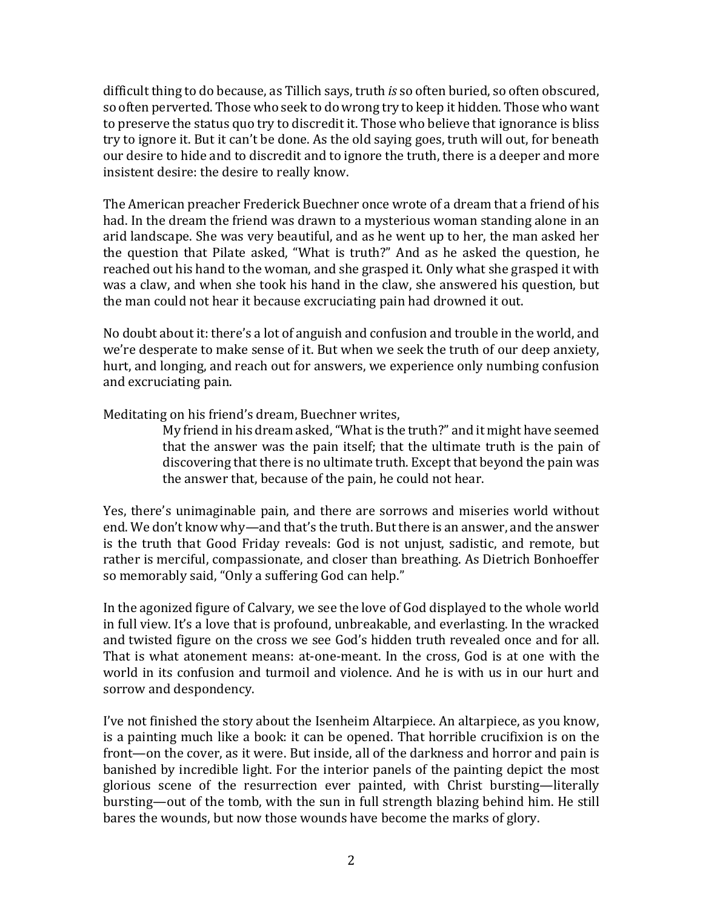difficult thing to do because, as Tillich says, truth *is* so often buried, so often obscured, so often perverted. Those who seek to do wrong try to keep it hidden. Those who want to preserve the status quo try to discredit it. Those who believe that ignorance is bliss try to ignore it. But it can't be done. As the old saying goes, truth will out, for beneath our desire to hide and to discredit and to ignore the truth, there is a deeper and more insistent desire: the desire to really know.

The American preacher Frederick Buechner once wrote of a dream that a friend of his had. In the dream the friend was drawn to a mysterious woman standing alone in an arid landscape. She was very beautiful, and as he went up to her, the man asked her the question that Pilate asked, "What is truth?" And as he asked the question, he reached out his hand to the woman, and she grasped it. Only what she grasped it with was a claw, and when she took his hand in the claw, she answered his question, but the man could not hear it because excruciating pain had drowned it out.

No doubt about it: there's a lot of anguish and confusion and trouble in the world, and we're desperate to make sense of it. But when we seek the truth of our deep anxiety, hurt, and longing, and reach out for answers, we experience only numbing confusion and excruciating pain.

Meditating on his friend's dream, Buechner writes,

My friend in his dream asked,"What is the truth?" and it might have seemed that the answer was the pain itself; that the ultimate truth is the pain of discovering that there is no ultimate truth. Except that beyond the pain was the answer that, because of the pain, he could not hear.

Yes, there's unimaginable pain, and there are sorrows and miseries world without end. We don't know why—and that's the truth. But there is an answer, and the answer is the truth that Good Friday reveals: God is not unjust, sadistic, and remote, but rather is merciful, compassionate, and closer than breathing. As Dietrich Bonhoeffer so memorably said, "Only a suffering God can help."

In the agonized figure of Calvary, we see the love of God displayed to the whole world in full view. It's a love that is profound, unbreakable, and everlasting. In the wracked and twisted figure on the cross we see God's hidden truth revealed once and for all. That is what atonement means: at-one-meant. In the cross, God is at one with the world in its confusion and turmoil and violence. And he is with us in our hurt and sorrow and despondency.

I've not finished the story about the Isenheim Altarpiece. An altarpiece, as you know, is a painting much like a book: it can be opened. That horrible crucifixion is on the front—on the cover, as it were. But inside, all of the darkness and horror and pain is banished by incredible light. For the interior panels of the painting depict the most glorious scene of the resurrection ever painted, with Christ bursting—literally bursting—out of the tomb, with the sun in full strength blazing behind him. He still bares the wounds, but now those wounds have become the marks of glory.